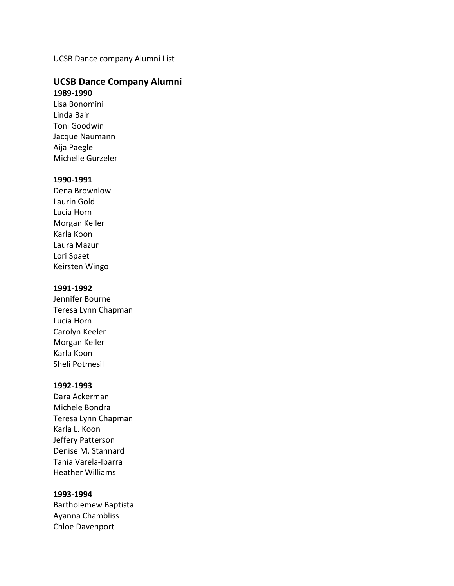UCSB Dance company Alumni List

# **UCSB Dance Company Alumni 1989-1990**

Lisa Bonomini Linda Bair Toni Goodwin Jacque Naumann Aija Paegle Michelle Gurzeler

### **1990-1991**

Dena Brownlow Laurin Gold Lucia Horn Morgan Keller Karla Koon Laura Mazur Lori Spaet Keirsten Wingo

## **1991-1992**

Jennifer Bourne Teresa Lynn Chapman Lucia Horn Carolyn Keeler Morgan Keller Karla Koon Sheli Potmesil

#### **1992-1993**

Dara Ackerman Michele Bondra Teresa Lynn Chapman Karla L. Koon Jeffery Patterson Denise M. Stannard Tania Varela-Ibarra Heather Williams

# **1993-1994**

Bartholemew Baptista Ayanna Chambliss Chloe Davenport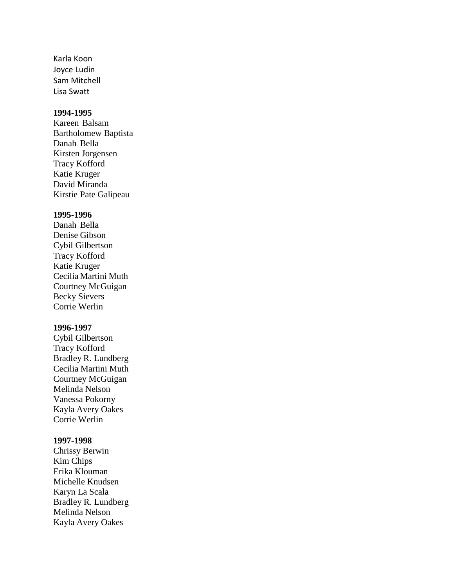Karla Koon Joyce Ludin Sam Mitchell Lisa Swatt

# **1994-1995**

Kareen Balsam Bartholomew Baptista Danah Bella Kirsten Jorgensen Tracy Kofford Katie Kruger David Miranda Kirstie Pate Galipeau

# **1995-1996**

Danah Bella Denise Gibson Cybil Gilbertson Tracy Kofford Katie Kruger Cecilia Martini Muth Courtney McGuigan Becky Sievers Corrie Werlin

#### **1996-1997**

Cybil Gilbertson Tracy Kofford Bradley R. Lundberg Cecilia Martini Muth Courtney McGuigan Melinda Nelson Vanessa Pokorny Kayla Avery Oakes Corrie Werlin

### **1997-1998**

Chrissy Berwin Kim Chips Erika Klouman Michelle Knudsen Karyn La Scala Bradley R. Lundberg Melinda Nelson Kayla Avery Oakes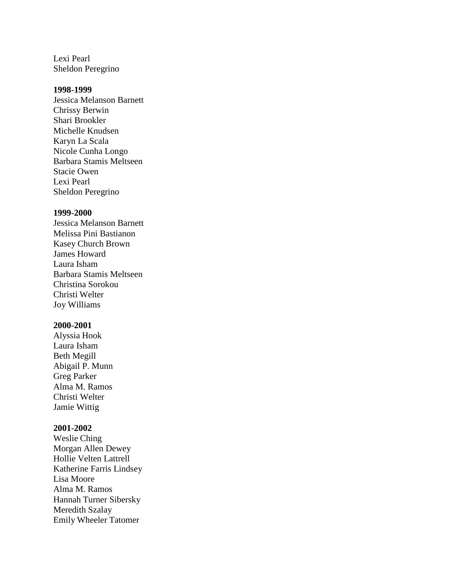Lexi Pearl Sheldon Peregrino

### **1998-1999**

Jessica Melanson Barnett Chrissy Berwin Shari Brookler Michelle Knudsen Karyn La Scala Nicole Cunha Longo Barbara Stamis Meltseen Stacie Owen Lexi Pearl Sheldon Peregrino

# **1999-2000**

Jessica Melanson Barnett Melissa Pini Bastianon Kasey Church Brown James Howard Laura Isham Barbara Stamis Meltseen Christina Sorokou Christi Welter Joy Williams

#### **2000-2001**

Alyssia Hook Laura Isham Beth Megill Abigail P. Munn Greg Parker Alma M. Ramos Christi Welter Jamie Wittig

## **2001-2002**

Weslie Ching Morgan Allen Dewey Hollie Velten Lattrell Katherine Farris Lindsey Lisa Moore Alma M. Ramos Hannah Turner Sibersky Meredith Szalay Emily Wheeler Tatomer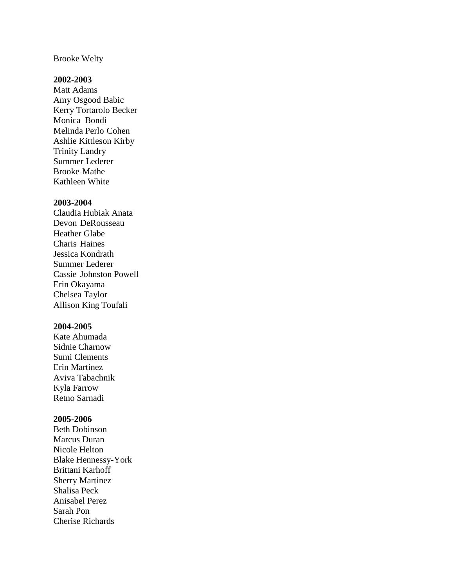#### Brooke Welty

## **2002-2003**

Matt Adams Amy Osgood Babic Kerry Tortarolo Becker Monica Bondi Melinda Perlo Cohen Ashlie Kittleson Kirby Trinity Landry Summer Lederer Brooke Mathe Kathleen White

### **2003-2004**

Claudia Hubiak Anata Devon DeRousseau Heather Glabe Charis Haines Jessica Kondrath Summer Lederer Cassie Johnston Powell Erin Okayama Chelsea Taylor Allison King Toufali

#### **2004-2005**

Kate Ahumada Sidnie Charnow Sumi Clements Erin Martinez Aviva Tabachnik Kyla Farrow Retno Sarnadi

# **2005-2006**

Beth Dobinson Marcus Duran Nicole Helton Blake Hennessy-York Brittani Karhoff Sherry Martinez Shalisa Peck Anisabel Perez Sarah Pon Cherise Richards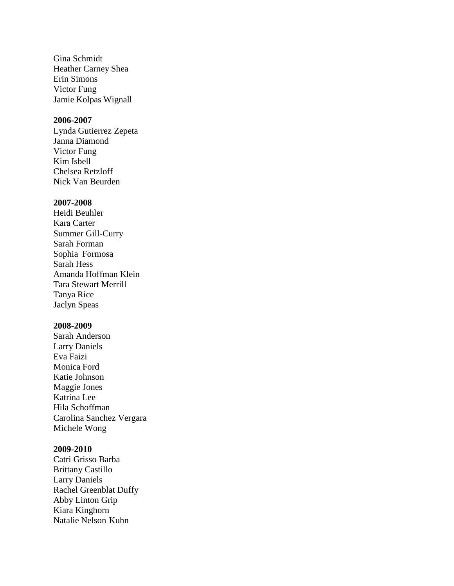Gina Schmidt Heather Carney Shea Erin Simons Victor Fung Jamie Kolpas Wignall

# **2006-2007**

Lynda Gutierrez Zepeta Janna Diamond Victor Fung Kim Isbell Chelsea Retzloff Nick Van Beurden

### **2007-2008**

Heidi Beuhler Kara Carter Summer Gill-Curry Sarah Forman Sophia Formosa Sarah Hess Amanda Hoffman Klein Tara Stewart Merrill Tanya Rice Jaclyn Speas

# **2008-2009**

Sarah Anderson Larry Daniels Eva Faizi Monica Ford Katie Johnson Maggie Jones Katrina Lee Hila Schoffman Carolina Sanchez Vergara Michele Wong

# **2009-2010**

Catri Grisso Barba Brittany Castillo Larry Daniels Rachel Greenblat Duffy Abby Linton Grip Kiara Kinghorn Natalie Nelson Kuhn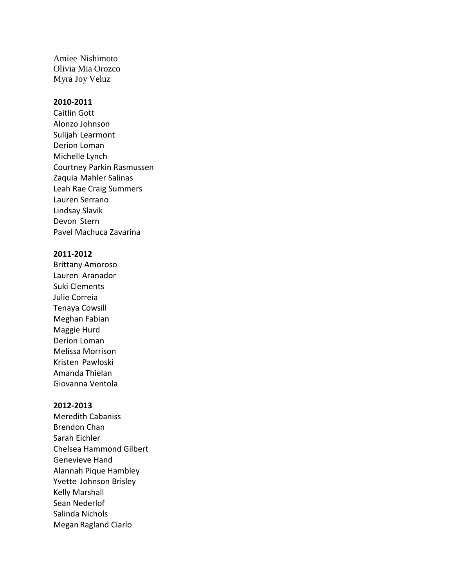Amiee Nishimoto Olivia Mia Orozco Myra Joy Veluz

# **2010-2011**

Caitlin Gott Alonzo Johnson Sulijah Learmont Derion Loman Michelle Lynch Courtney Parkin Rasmussen Zaquia Mahler Salinas Leah Rae Craig Summers Lauren Serrano Lindsay Slavik Devon Stern Pavel Machuca Zavarina

### **2011-2012**

Brittany Amoroso Lauren Aranador Suki Clements Julie Correia Tenaya Cowsill Meghan Fabian Maggie Hurd Derion Loman Melissa Morrison Kristen Pawloski Amanda Thielan Giovanna Ventola

#### **2012-2013**

Meredith Cabaniss Brendon Chan Sarah Eichler Chelsea Hammond Gilbert Genevieve Hand Alannah Pique Hambley Yvette Johnson Brisley Kelly Marshall Sean Nederlof Salinda Nichols Megan Ragland Ciarlo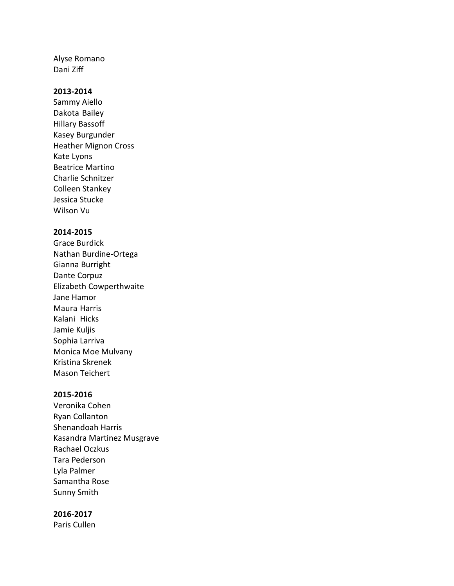Alyse Romano Dani Ziff

# **2013-2014**

Sammy Aiello Dakota Bailey Hillary Bassoff Kasey Burgunder Heather Mignon Cross Kate Lyons Beatrice Martino Charlie Schnitzer Colleen Stankey Jessica Stucke Wilson Vu

# **2014-2015**

Grace Burdick Nathan Burdine-Ortega Gianna Burright Dante Corpuz Elizabeth Cowperthwaite Jane Hamor Maura Harris Kalani Hicks Jamie Kuljis Sophia Larriva Monica Moe Mulvany Kristina Skrenek Mason Teichert

# **2015-2016**

Veronika Cohen Ryan Collanton Shenandoah Harris Kasandra Martinez Musgrave Rachael Oczkus Tara Pederson Lyla Palmer Samantha Rose Sunny Smith

# **2016-2017**

Paris Cullen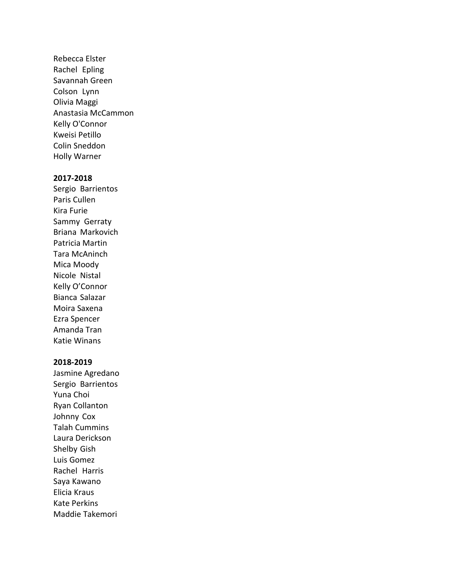Rebecca Elster Rachel Epling Savannah Green Colson Lynn Olivia Maggi Anastasia McCammon Kelly O'Connor Kweisi Petillo Colin Sneddon Holly Warner

## **2017-2018**

Sergio Barrientos Paris Cullen Kira Furie Sammy Gerraty Briana Markovich Patricia Martin Tara McAninch Mica Moody Nicole Nistal Kelly O'Connor Bianca Salazar Moira Saxena Ezra Spencer Amanda Tran Katie Winans

# **2018-2019**

Jasmine Agredano Sergio Barrientos Yuna Choi Ryan Collanton Johnny Cox Talah Cummins Laura Derickson Shelby Gish Luis Gomez Rachel Harris Saya Kawano Elicia Kraus Kate Perkins Maddie Takemori